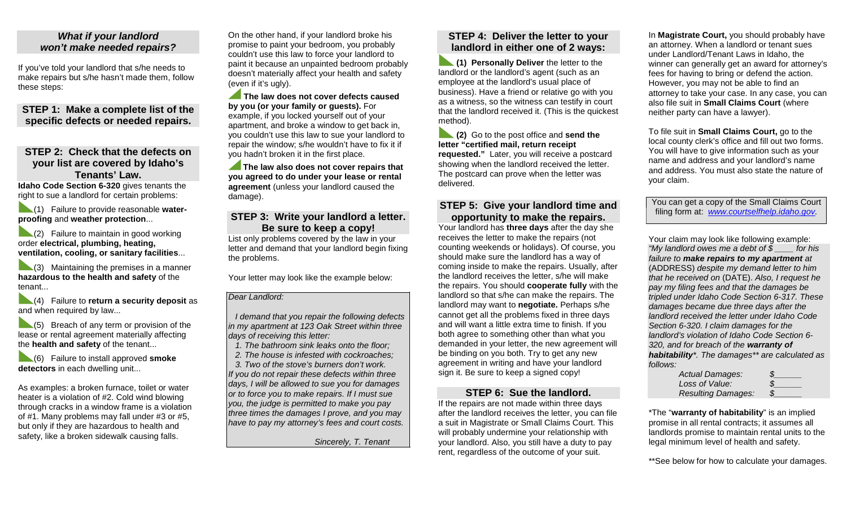## *What if your landlord won't make needed repairs?*

If you've told your landlord that s/he needs to make repairs but s/he hasn't made them, follow these steps:

# **STEP 1: Make a complete list of the specific defects or needed repairs.**

## **STEP 2: Check that the defects on your list are covered by Idaho's Tenants' Law.**

**Idaho Code Section 6-320** gives tenants the right to sue a landlord for certain problems:

**1)** Failure to provide reasonable water**proofing** and **weather protection**...

 $\bigotimes$  (2) Failure to maintain in good working order **electrical, plumbing, heating, ventilation, cooling, or sanitary facilities**...

 $(3)$  Maintaining the premises in a manner **hazardous to the health and safety** of the tenant...

(4) Failure to **return a security deposit** as and when required by law...

 $\bigcirc$  (5) Breach of any term or provision of the lease or rental agreement materially affecting the **health and safety** of the tenant...

(6) Failure to install approved **smoke detectors** in each dwelling unit...

As examples: a broken furnace, toilet or water heater is a violation of #2. Cold wind blowing through cracks in a window frame is a violation of #1. Many problems may fall under #3 or #5, but only if they are hazardous to health and safety, like a broken sidewalk causing falls.

On the other hand, if your landlord broke his promise to paint your bedroom, you probably couldn't use this law to force your landlord to paint it because an unpainted bedroom probably doesn't materially affect your health and safety (even if it's ugly).

**The law does not cover defects caused by you (or your family or guests).** For example, if you locked yourself out of your apartment, and broke a window to get back in, you couldn't use this law to sue your landlord to repair the window; s/he wouldn't have to fix it if you hadn't broken it in the first place.

**The law also does not cover repairs that you agreed to do under your lease or rental agreement** (unless your landlord caused the damage).

## **STEP 3: Write your landlord a letter. Be sure to keep a copy!**

List only problems covered by the law in your letter and demand that your landlord begin fixing the problems.

Your letter may look like the example below:

#### *Dear Landlord:*

 *I demand that you repair the following defects in my apartment at 123 Oak Street within three days of receiving this letter:* 

 *1. The bathroom sink leaks onto the floor; 2. The house is infested with cockroaches; 3. Two of the stove's burners don't work. If you do not repair these defects within three days, I will be allowed to sue you for damages or to force you to make repairs. If I must sue you, the judge is permitted to make you pay three times the damages I prove, and you may have to pay my attorney's fees and court costs.* 

 *Sincerely, T. Tenant* 

## **STEP 4: Deliver the letter to your landlord in either one of 2 ways:**

**(1) Personally Deliver** the letter to the landlord or the landlord's agent (such as an employee at the landlord's usual place of business). Have a friend or relative go with you as a witness, so the witness can testify in court that the landlord received it. (This is the quickest method).

**(2)** Go to the post office and **send the letter "certified mail, return receipt requested."** Later, you will receive a postcard showing when the landlord received the letter. The postcard can prove when the letter was delivered.

# **STEP 5: Give your landlord time and opportunity to make the repairs.**

Your landlord has **three days** after the day she receives the letter to make the repairs (not counting weekends or holidays). Of course, you should make sure the landlord has a way of coming inside to make the repairs. Usually, after the landlord receives the letter, s/he will make the repairs. You should **cooperate fully** with the landlord so that s/he can make the repairs. The landlord may want to **negotiate.** Perhaps s/he cannot get all the problems fixed in three days and will want a little extra time to finish. If you both agree to something other than what you demanded in your letter, the new agreement will be binding on you both. Try to get any new agreement in writing and have your landlord sign it. Be sure to keep a signed copy!

# **STEP 6: Sue the landlord.**

If the repairs are not made within three days after the landlord receives the letter, you can file a suit in Magistrate or Small Claims Court. This will probably undermine your relationship with your landlord. Also, you still have a duty to pay rent, regardless of the outcome of your suit.

In **Magistrate Court,** you should probably have an attorney. When a landlord or tenant sues under Landlord/Tenant Laws in Idaho, the winner can generally get an award for attorney's fees for having to bring or defend the action. However, you may not be able to find an attorney to take your case. In any case, you can also file suit in **Small Claims Court** (where neither party can have a lawyer).

To file suit in **Small Claims Court,** go to the local county clerk's office and fill out two forms. You will have to give information such as your name and address and your landlord's name and address. You must also state the nature of your claim.

You can get a copy of the Small Claims Court filing form at: *[www.courtselfhelp.idaho.gov.](http://www.courtselfhelp.idaho.gov/)*

Your claim may look like following example: *"My landlord owes me a debt of \$ \_\_\_\_ for his failure to make repairs to my apartment at*  (ADDRESS) *despite my demand letter to him that he received on* (DATE). *Also, I request he pay my filing fees and that the damages be tripled under Idaho Code Section 6-317. These damages became due three days after the landlord received the letter under Idaho Code Section 6-320. I claim damages for the landlord's violation of Idaho Code Section 6- 320, and for breach of the warranty of habitability\*. The damages\*\* are calculated as follows:* 

| <b>Actual Damages:</b>    |  |
|---------------------------|--|
| Loss of Value:            |  |
| <b>Resulting Damages:</b> |  |

\*The "**warranty of habitability**" is an implied promise in all rental contracts; it assumes all landlords promise to maintain rental units to the legal minimum level of health and safety.

\*\*See below for how to calculate your damages.